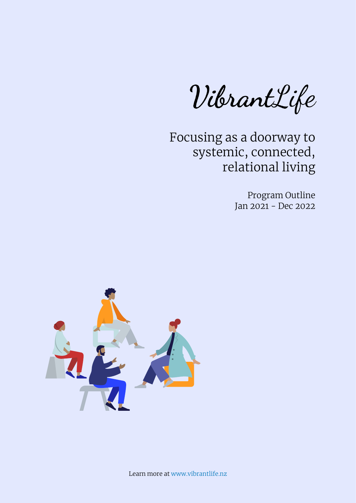VibrantLife

Focusing as a doorway to systemic, connected, relational living

> Program Outline Jan 2021 - Dec 2022



Learn more at [www.vibrantlife.nz](http://www.vibrantlife.nz)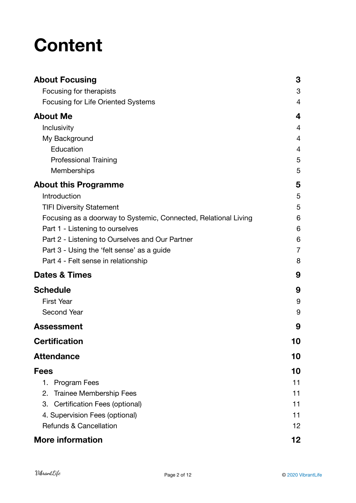# **Content**

| <b>About Focusing</b>                                           | 3              |
|-----------------------------------------------------------------|----------------|
| Focusing for therapists                                         | 3              |
| <b>Focusing for Life Oriented Systems</b>                       | 4              |
| <b>About Me</b>                                                 | 4              |
| Inclusivity                                                     | 4              |
| My Background                                                   | 4              |
| Education                                                       | 4              |
| <b>Professional Training</b>                                    | 5              |
| Memberships                                                     | 5              |
| <b>About this Programme</b>                                     | 5              |
| Introduction                                                    | 5              |
| <b>TIFI Diversity Statement</b>                                 | 5              |
| Focusing as a doorway to Systemic, Connected, Relational Living | 6              |
| Part 1 - Listening to ourselves                                 | 6              |
| Part 2 - Listening to Ourselves and Our Partner                 | 6              |
| Part 3 - Using the 'felt sense' as a guide                      | $\overline{7}$ |
| Part 4 - Felt sense in relationship                             | 8              |
| <b>Dates &amp; Times</b>                                        | 9              |
| <b>Schedule</b>                                                 | 9              |
| <b>First Year</b>                                               | 9              |
| Second Year                                                     | 9              |
| <b>Assessment</b>                                               | 9              |
| <b>Certification</b>                                            | 10             |
| <b>Attendance</b>                                               | 10             |
| Fees                                                            | 10             |
| 1.<br><b>Program Fees</b>                                       | 11             |
| <b>Trainee Membership Fees</b><br>2.                            | 11             |
| 3. Certification Fees (optional)                                | 11             |
| 4. Supervision Fees (optional)                                  | 11             |
| <b>Refunds &amp; Cancellation</b>                               | 12             |
| <b>More information</b>                                         | 12             |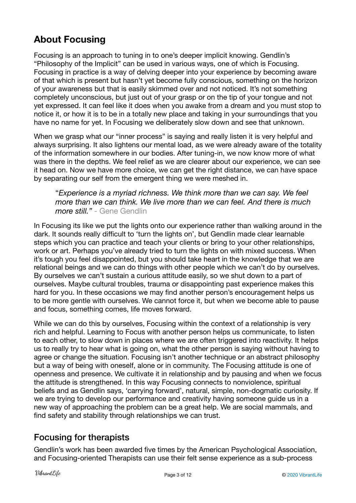# <span id="page-2-0"></span>**About Focusing**

Focusing is an approach to tuning in to one's deeper implicit knowing. Gendlin's "Philosophy of the Implicit" can be used in various ways, one of which is Focusing. Focusing in practice is a way of delving deeper into your experience by becoming aware of that which is present but hasn't yet become fully conscious, something on the horizon of your awareness but that is easily skimmed over and not noticed. It's not something completely unconscious, but just out of your grasp or on the tip of your tongue and not yet expressed. It can feel like it does when you awake from a dream and you must stop to notice it, or how it is to be in a totally new place and taking in your surroundings that you have no name for yet. In Focusing we deliberately slow down and see that unknown.

When we grasp what our "inner process" is saying and really listen it is very helpful and always surprising. It also lightens our mental load, as we were already aware of the totality of the information somewhere in our bodies. After tuning-in, we now know more of what was there in the depths. We feel relief as we are clearer about our experience, we can see it head on. Now we have more choice, we can get the right distance, we can have space by separating our self from the emergent thing we were meshed in.

"*Experience is a myriad richness. We think more than we can say. We feel more than we can think. We live more than we can feel. And there is much more still."* - Gene Gendlin

In Focusing its like we put the lights onto our experience rather than walking around in the dark. It sounds really difficult to 'turn the lights on', but Gendlin made clear learnable steps which you can practice and teach your clients or bring to your other relationships, work or art. Perhaps you've already tried to turn the lights on with mixed success. When it's tough you feel disappointed, but you should take heart in the knowledge that we are relational beings and we can do things with other people which we can't do by ourselves. By ourselves we can't sustain a curious attitude easily, so we shut down to a part of ourselves. Maybe cultural troubles, trauma or disappointing past experience makes this hard for you. In these occasions we may find another person's encouragement helps us to be more gentle with ourselves. We cannot force it, but when we become able to pause and focus, something comes, life moves forward.

While we can do this by ourselves, Focusing within the context of a relationship is very rich and helpful. Learning to Focus with another person helps us communicate, to listen to each other, to slow down in places where we are often triggered into reactivity. It helps us to really try to hear what is going on, what the other person is saying without having to agree or change the situation. Focusing isn't another technique or an abstract philosophy but a way of being with oneself, alone or in community. The Focusing attitude is one of openness and presence. We cultivate it in relationship and by pausing and when we focus the attitude is strengthened. In this way Focusing connects to nonviolence, spiritual beliefs and as Gendlin says, 'carrying forward', natural, simple, non-dogmatic curiosity. If we are trying to develop our performance and creativity having someone guide us in a new way of approaching the problem can be a great help. We are social mammals, and find safety and stability through relationships we can trust.

# <span id="page-2-1"></span>Focusing for therapists

Gendlin's work has been awarded five times by the American Psychological Association, and Focusing-oriented Therapists can use their felt sense experience as a sub-process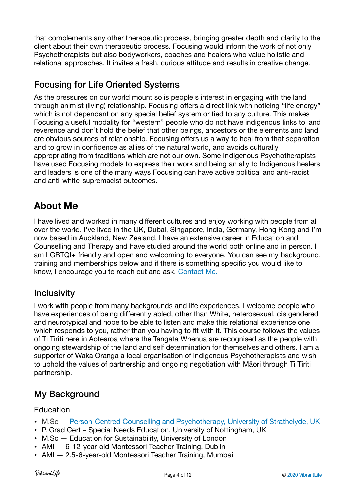that complements any other therapeutic process, bringing greater depth and clarity to the client about their own therapeutic process. Focusing would inform the work of not only Psychotherapists but also bodyworkers, coaches and healers who value holistic and relational approaches. It invites a fresh, curious attitude and results in creative change.

#### <span id="page-3-0"></span>Focusing for Life Oriented Systems

As the pressures on our world mount so is people's interest in engaging with the land through animist (living) relationship. Focusing offers a direct link with noticing "life energy" which is not dependant on any special belief system or tied to any culture. This makes Focusing a useful modality for "western" people who do not have indigenous links to land reverence and don't hold the belief that other beings, ancestors or the elements and land are obvious sources of relationship. Focusing offers us a way to heal from that separation and to grow in confidence as allies of the natural world, and avoids culturally appropriating from traditions which are not our own. Some Indigenous Psychotherapists have used Focusing models to express their work and being an ally to Indigenous healers and leaders is one of the many ways Focusing can have active political and anti-racist and anti-white-supremacist outcomes.

# <span id="page-3-1"></span>**About Me**

I have lived and worked in many different cultures and enjoy working with people from all over the world. I've lived in the UK, Dubai, Singapore, India, Germany, Hong Kong and I'm now based in Auckland, New Zealand. I have an extensive career in Education and Counselling and Therapy and have studied around the world both online and in person. I am LGBTQI+ friendly and open and welcoming to everyone. You can see my background, training and memberships below and if there is something specific you would like to know, I encourage you to reach out and ask. [Contact Me.](https://vibrantlife.nz/contact-me/)

#### <span id="page-3-2"></span>**Inclusivity**

I work with people from many backgrounds and life experiences. I welcome people who have experiences of being differently abled, other than White, heterosexual, cis gendered and neurotypical and hope to be able to listen and make this relational experience one which responds to you, rather than you having to fit with it. This course follows the values of Ti Tiriti here in Aotearoa where the Tangata Whenua are recognised as the people with ongoing stewardship of the land and self determination for themselves and others. I am a supporter of Waka Oranga a local organisation of Indigenous Psychotherapists and wish to uphold the values of partnership and ongoing negotiation with Māori through Ti Tiriti partnership.

# <span id="page-3-3"></span>My Background

#### <span id="page-3-4"></span>Education

- M.Sc — [Person-Centred Counselling and Psychotherapy, University of Strathclyde, UK](https://www.strath.ac.uk/courses/postgraduatetaught/counsellingpsychotherapy/)
- P. Grad Cert Special Needs Education, University of Nottingham, UK
- M.Sc Education for Sustainability, University of London
- AMI 6-12-year-old Montessori Teacher Training, Dublin
- AMI 2.5-6-year-old Montessori Teacher Training, Mumbai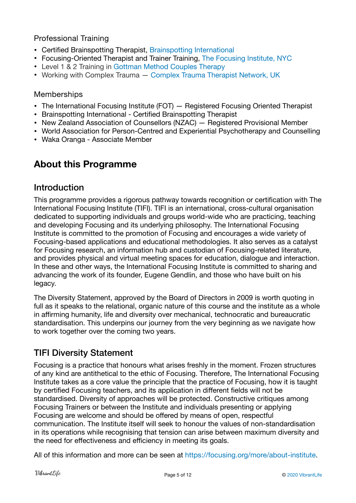#### <span id="page-4-0"></span>Professional Training

- Certified Brainspotting Therapist, [Brainspotting International](https://brainspotting.com/)
- Focusing-Oriented Therapist and Trainer Training, [The Focusing Institute, NYC](https://focusing.org/)
- Level 1 & 2 Training in [Gottman Method Couples Therapy](https://www.gottman.com/about/the-gottman-method/)
- Working with Complex Trauma — [Complex Trauma Therapist Network, UK](https://www.complextrauma.uk/)

#### <span id="page-4-1"></span>Memberships

- [The International Focusing Institute \(FOT\) Registered Focusing Oriented Therapist](https://focusing.org/)
- Brainspotting International Certified Brainspotting Therapist
- [New Zealand Association of Counsellors \(NZAC\) Registered Provisional Member](http://www.nzac.org.nz/)
- [World Association for Person-Centred and Experiential Psychotherapy and Counselling](https://www.pce-world.org/)
- Waka Oranga Associate Member

# <span id="page-4-2"></span>**About this Programme**

#### <span id="page-4-3"></span>Introduction

This programme provides a rigorous pathway towards recognition or certification with The International Focusing Institute (TIFI). TIFI is an international, cross-cultural organisation dedicated to supporting individuals and groups world-wide who are practicing, teaching and developing Focusing and its underlying philosophy. The International Focusing Institute is committed to the promotion of Focusing and encourages a wide variety of Focusing-based applications and educational methodologies. It also serves as a catalyst for Focusing research, an information hub and custodian of Focusing-related literature, and provides physical and virtual meeting spaces for education, dialogue and interaction. In these and other ways, the International Focusing Institute is committed to sharing and advancing the work of its founder, Eugene Gendlin, and those who have built on his legacy.

The Diversity Statement, approved by the Board of Directors in 2009 is worth quoting in full as it speaks to the relational, organic nature of this course and the institute as a whole in affirming humanity, life and diversity over mechanical, technocratic and bureaucratic standardisation. This underpins our journey from the very beginning as we navigate how to work together over the coming two years.

# <span id="page-4-4"></span>TIFI Diversity Statement

Focusing is a practice that honours what arises freshly in the moment. Frozen structures of any kind are antithetical to the ethic of Focusing. Therefore, The International Focusing Institute takes as a core value the principle that the practice of Focusing, how it is taught by certified Focusing teachers, and its application in different fields will not be standardised. Diversity of approaches will be protected. Constructive critiques among Focusing Trainers or between the Institute and individuals presenting or applying Focusing are welcome and should be offered by means of open, respectful communication. The Institute itself will seek to honour the values of non-standardisation in its operations while recognising that tension can arise between maximum diversity and the need for effectiveness and efficiency in meeting its goals.

All of this information and more can be seen at <https://focusing.org/more/about-institute>.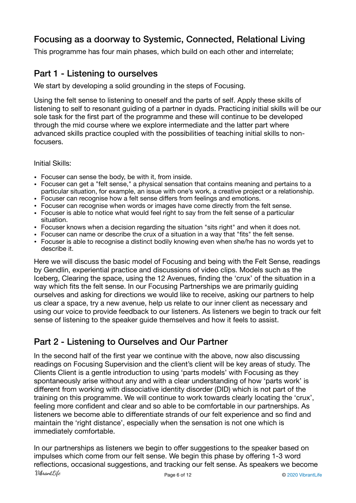# <span id="page-5-0"></span>Focusing as a doorway to Systemic, Connected, Relational Living

This programme has four main phases, which build on each other and interrelate;

#### <span id="page-5-1"></span>Part 1 - Listening to ourselves

We start by developing a solid grounding in the steps of Focusing.

Using the felt sense to listening to oneself and the parts of self. Apply these skills of listening to self to resonant guiding of a partner in dyads. Practicing initial skills will be our sole task for the first part of the programme and these will continue to be developed through the mid course where we explore intermediate and the latter part where advanced skills practice coupled with the possibilities of teaching initial skills to nonfocusers.

Initial Skills:

- Focuser can sense the body, be with it, from inside.
- Focuser can get a "felt sense," a physical sensation that contains meaning and pertains to a particular situation, for example, an issue with one's work, a creative project or a relationship.
- Focuser can recognise how a felt sense differs from feelings and emotions.
- Focuser can recognise when words or images have come directly from the felt sense.
- Focuser is able to notice what would feel right to say from the felt sense of a particular situation.
- Focuser knows when a decision regarding the situation "sits right" and when it does not.
- Focuser can name or describe the crux of a situation in a way that "fits" the felt sense.
- Focuser is able to recognise a distinct bodily knowing even when she/he has no words yet to describe it.

Here we will discuss the basic model of Focusing and being with the Felt Sense, readings by Gendlin, experiential practice and discussions of video clips. Models such as the Iceberg, Clearing the space, using the 12 Avenues, finding the 'crux' of the situation in a way which fits the felt sense. In our Focusing Partnerships we are primarily guiding ourselves and asking for directions we would like to receive, asking our partners to help us clear a space, try a new avenue, help us relate to our inner client as necessary and using our voice to provide feedback to our listeners. As listeners we begin to track our felt sense of listening to the speaker guide themselves and how it feels to assist.

#### <span id="page-5-2"></span>Part 2 - Listening to Ourselves and Our Partner

In the second half of the first year we continue with the above, now also discussing readings on Focusing Supervision and the client's client will be key areas of study. The Clients Client is a gentle introduction to using 'parts models' with Focusing as they spontaneously arise without any and with a clear understanding of how 'parts work' is different from working with dissociative identity disorder (DID) which is not part of the training on this programme. We will continue to work towards clearly locating the 'crux', feeling more confident and clear and so able to be comfortable in our partnerships. As listeners we become able to differentiate strands of our felt experience and so find and maintain the 'right distance', especially when the sensation is not one which is immediately comfortable.

In our partnerships as listeners we begin to offer suggestions to the speaker based on impulses which come from our felt sense. We begin this phase by offering 1-3 word reflections, occasional suggestions, and tracking our felt sense. As speakers we become VibrantLife Page 6 of 12 **Decision COVID-2020** VibrantLife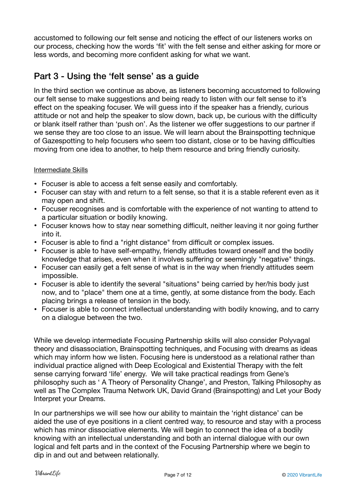accustomed to following our felt sense and noticing the effect of our listeners works on our process, checking how the words 'fit' with the felt sense and either asking for more or less words, and becoming more confident asking for what we want.

### <span id="page-6-0"></span>Part 3 - Using the 'felt sense' as a guide

In the third section we continue as above, as listeners becoming accustomed to following our felt sense to make suggestions and being ready to listen with our felt sense to it's effect on the speaking focuser. We will guess into if the speaker has a friendly, curious attitude or not and help the speaker to slow down, back up, be curious with the difficulty or blank itself rather than 'push on'. As the listener we offer suggestions to our partner if we sense they are too close to an issue. We will learn about the Brainspotting technique of Gazespotting to help focusers who seem too distant, close or to be having difficulties moving from one idea to another, to help them resource and bring friendly curiosity.

#### Intermediate Skills

- Focuser is able to access a felt sense easily and comfortably.
- Focuser can stay with and return to a felt sense, so that it is a stable referent even as it may open and shift.
- Focuser recognises and is comfortable with the experience of not wanting to attend to a particular situation or bodily knowing.
- Focuser knows how to stay near something difficult, neither leaving it nor going further into it.
- Focuser is able to find a "right distance" from difficult or complex issues.
- Focuser is able to have self-empathy, friendly attitudes toward oneself and the bodily knowledge that arises, even when it involves suffering or seemingly "negative" things.
- Focuser can easily get a felt sense of what is in the way when friendly attitudes seem impossible.
- Focuser is able to identify the several "situations" being carried by her/his body just now, and to "place" them one at a time, gently, at some distance from the body. Each placing brings a release of tension in the body.
- Focuser is able to connect intellectual understanding with bodily knowing, and to carry on a dialogue between the two.

While we develop intermediate Focusing Partnership skills will also consider Polyvagal theory and disassociation, Brainspotting techniques, and Focusing with dreams as ideas which may inform how we listen. Focusing here is understood as a relational rather than individual practice aligned with Deep Ecological and Existential Therapy with the felt sense carrying forward 'life' energy. We will take practical readings from Gene's philosophy such as ' A Theory of Personality Change', and Preston, Talking Philosophy as well as The Complex Trauma Network UK, David Grand (Brainspotting) and Let your Body Interpret your Dreams.

In our partnerships we will see how our ability to maintain the 'right distance' can be aided the use of eye positions in a client centred way, to resource and stay with a process which has minor dissociative elements. We will begin to connect the idea of a bodily knowing with an intellectual understanding and both an internal dialogue with our own logical and felt parts and in the context of the Focusing Partnership where we begin to dip in and out and between relationally.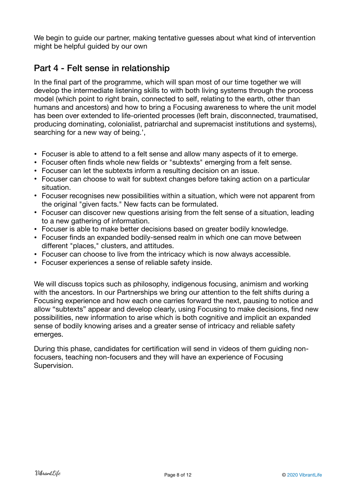We begin to guide our partner, making tentative guesses about what kind of intervention might be helpful guided by our own

## <span id="page-7-0"></span>Part 4 - Felt sense in relationship

In the final part of the programme, which will span most of our time together we will develop the intermediate listening skills to with both living systems through the process model (which point to right brain, connected to self, relating to the earth, other than humans and ancestors) and how to bring a Focusing awareness to where the unit model has been over extended to life-oriented processes (left brain, disconnected, traumatised, producing dominating, colonialist, patriarchal and supremacist institutions and systems), searching for a new way of being.',

- Focuser is able to attend to a felt sense and allow many aspects of it to emerge.
- Focuser often finds whole new fields or "subtexts" emerging from a felt sense.
- Focuser can let the subtexts inform a resulting decision on an issue.
- Focuser can choose to wait for subtext changes before taking action on a particular situation.
- Focuser recognises new possibilities within a situation, which were not apparent from the original "given facts." New facts can be formulated.
- Focuser can discover new questions arising from the felt sense of a situation, leading to a new gathering of information.
- Focuser is able to make better decisions based on greater bodily knowledge.
- Focuser finds an expanded bodily-sensed realm in which one can move between different "places," clusters, and attitudes.
- Focuser can choose to live from the intricacy which is now always accessible.
- Focuser experiences a sense of reliable safety inside.

We will discuss topics such as philosophy, indigenous focusing, animism and working with the ancestors. In our Partnerships we bring our attention to the felt shifts during a Focusing experience and how each one carries forward the next, pausing to notice and allow "subtexts" appear and develop clearly, using Focusing to make decisions, find new possibilities, new information to arise which is both cognitive and implicit an expanded sense of bodily knowing arises and a greater sense of intricacy and reliable safety emerges.

During this phase, candidates for certification will send in videos of them guiding nonfocusers, teaching non-focusers and they will have an experience of Focusing Supervision.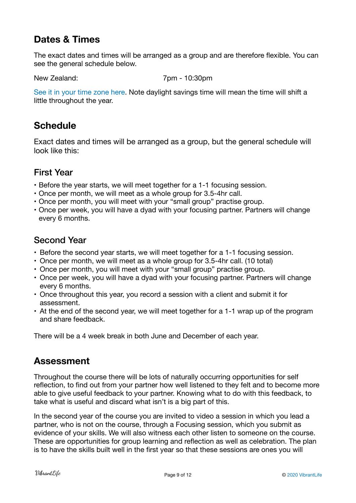# <span id="page-8-0"></span>**Dates & Times**

The exact dates and times will be arranged as a group and are therefore flexible. You can see the general schedule below.

New Zealand: 7pm - 10:30pm

[See it in your time zone here.](https://www.timeanddate.com/worldclock/fixedtime.html?msg=Focusing+as+a+doorway+to+Systemic,+Connected,+Relational+Living&iso=20210106T19&p1=22&ah=3) Note daylight savings time will mean the time will shift a little throughout the year.

# <span id="page-8-1"></span>**Schedule**

Exact dates and times will be arranged as a group, but the general schedule will look like this:

#### <span id="page-8-2"></span>First Year

- Before the year starts, we will meet together for a 1-1 focusing session.
- Once per month, we will meet as a whole group for 3.5-4hr call.
- Once per month, you will meet with your "small group" practise group.
- Once per week, you will have a dyad with your focusing partner. Partners will change every 6 months.

#### <span id="page-8-3"></span>Second Year

- Before the second year starts, we will meet together for a 1-1 focusing session.
- Once per month, we will meet as a whole group for 3.5-4hr call. (10 total)
- Once per month, you will meet with your "small group" practise group.
- Once per week, you will have a dyad with your focusing partner. Partners will change every 6 months.
- Once throughout this year, you record a session with a client and submit it for assessment.
- At the end of the second year, we will meet together for a 1-1 wrap up of the program and share feedback.

There will be a 4 week break in both June and December of each year.

#### <span id="page-8-4"></span>**Assessment**

Throughout the course there will be lots of naturally occurring opportunities for self reflection, to find out from your partner how well listened to they felt and to become more able to give useful feedback to your partner. Knowing what to do with this feedback, to take what is useful and discard what isn't is a big part of this.

In the second year of the course you are invited to video a session in which you lead a partner, who is not on the course, through a Focusing session, which you submit as evidence of your skills. We will also witness each other listen to someone on the course. These are opportunities for group learning and reflection as well as celebration. The plan is to have the skills built well in the first year so that these sessions are ones you will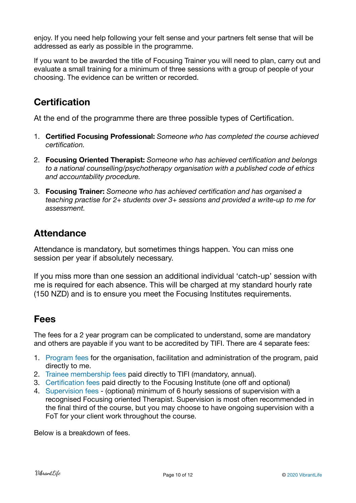enjoy. If you need help following your felt sense and your partners felt sense that will be addressed as early as possible in the programme.

If you want to be awarded the title of Focusing Trainer you will need to plan, carry out and evaluate a small training for a minimum of three sessions with a group of people of your choosing. The evidence can be written or recorded.

# <span id="page-9-0"></span>**Certification**

At the end of the programme there are three possible types of Certification.

- 1. **Certified Focusing Professional:** *Someone who has completed the course achieved certification.*
- 2. **Focusing Oriented Therapist:** *Someone who has achieved certification and belongs to a national counselling/psychotherapy organisation with a published code of ethics and accountability procedure.*
- 3. **Focusing Trainer:** *Someone who has achieved certification and has organised a teaching practise for 2+ students over 3+ sessions and provided a write-up to me for assessment.*

# <span id="page-9-1"></span>**Attendance**

Attendance is mandatory, but sometimes things happen. You can miss one session per year if absolutely necessary.

If you miss more than one session an additional individual 'catch-up' session with me is required for each absence. This will be charged at my standard hourly rate (150 NZD) and is to ensure you meet the Focusing Institutes requirements.

# <span id="page-9-2"></span>**Fees**

The fees for a 2 year program can be complicated to understand, some are mandatory and others are payable if you want to be accredited by TIFI. There are 4 separate fees:

- 1. [Program fees](#page-10-0) for the organisation, facilitation and administration of the program, paid directly to me.
- 2. [Trainee membership fees](#page-10-1) paid directly to TIFI (mandatory, annual).
- 3. [Certification fees](#page-10-2) paid directly to the Focusing Institute (one off and optional)
- 4. [Supervision fees](#page-10-3)  (optional) minimum of 6 hourly sessions of supervision with a recognised Focusing oriented Therapist. Supervision is most often recommended in the final third of the course, but you may choose to have ongoing supervision with a FoT for your client work throughout the course.

Below is a breakdown of fees.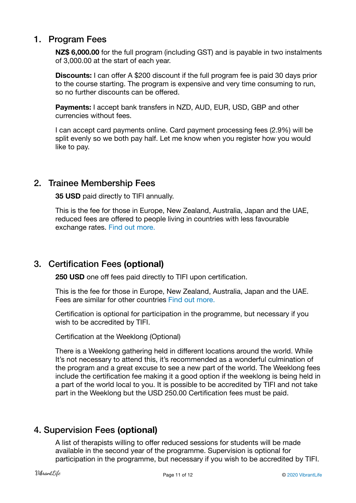#### <span id="page-10-0"></span>1. Program Fees

**NZ\$ 6,000.00** for the full program (including GST) and is payable in two instalments of 3,000.00 at the start of each year.

**Discounts:** I can offer A \$200 discount if the full program fee is paid 30 days prior to the course starting. The program is expensive and very time consuming to run, so no further discounts can be offered.

**Payments:** I accept bank transfers in NZD, AUD, EUR, USD, GBP and other currencies without fees.

I can accept card payments online. Card payment processing fees (2.9%) will be split evenly so we both pay half. Let me know when you register how you would like to pay.

#### <span id="page-10-1"></span>2. Trainee Membership Fees

**35 USD** paid directly to TIFI annually.

This is the fee for those in Europe, New Zealand, Australia, Japan and the UAE, reduced fees are offered to people living in countries with less favourable exchange rates. [Find out more.](https://focusing.org/course/membership)

#### <span id="page-10-2"></span>3. Certification Fees **(optional)**

**250 USD** one off fees paid directly to TIFI upon certification.

This is the fee for those in Europe, New Zealand, Australia, Japan and the UAE. Fees are similar for other countries [Find out more.](https://focusing.org/course/membership)

Certification is optional for participation in the programme, but necessary if you wish to be accredited by TIFI.

Certification at the Weeklong (Optional)

There is a Weeklong gathering held in different locations around the world. While It's not necessary to attend this, it's recommended as a wonderful culmination of the program and a great excuse to see a new part of the world. The Weeklong fees include the certification fee making it a good option if the weeklong is being held in a part of the world local to you. It is possible to be accredited by TIFI and not take part in the Weeklong but the USD 250.00 Certification fees must be paid.

#### <span id="page-10-3"></span>4. Supervision Fees **(optional)**

A list of therapists willing to offer reduced sessions for students will be made available in the second year of the programme. Supervision is optional for participation in the programme, but necessary if you wish to be accredited by TIFI.